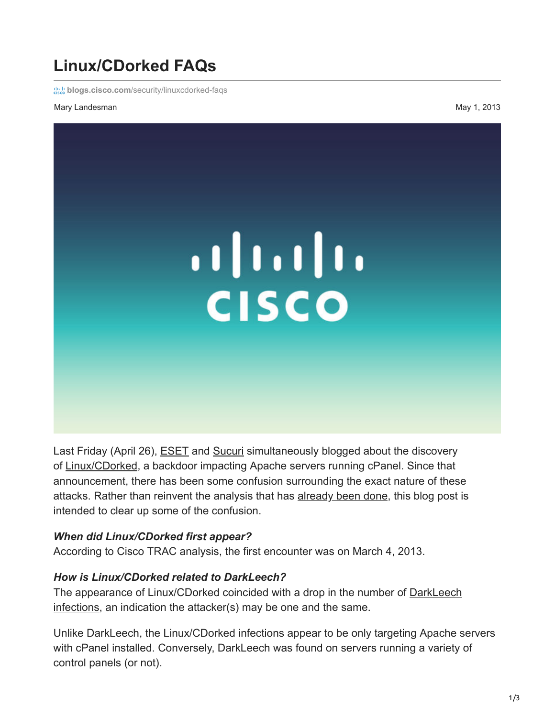# **Linux/CDorked FAQs**

**blogs.cisco.com[/security/linuxcdorked-faqs](https://blogs.cisco.com/security/linuxcdorked-faqs)** 

#### Mary Landesman May 1, 2013



Last Friday (April 26), **[ESET](http://www.welivesecurity.com/2013/04/26/linuxcdorked-new-apache-backdoor-in-the-wild-serves-blackhole/)** and [Sucuri](http://blog.sucuri.net/2013/04/apache-binary-backdoors-on-cpanel-based-servers.html) simultaneously blogged about the discovery of [Linux/CDorked,](http://tools.cisco.com/security/center/viewAlert.x?alertId=29133) a backdoor impacting Apache servers running cPanel. Since that announcement, there has been some confusion surrounding the exact nature of these attacks. Rather than reinvent the analysis that has [already been done,](http://www.welivesecurity.com/2013/04/26/linuxcdorked-new-apache-backdoor-in-the-wild-serves-blackhole/) this blog post is intended to clear up some of the confusion.

#### *When did Linux/CDorked first appear?*

According to Cisco TRAC analysis, the first encounter was on March 4, 2013.

#### *How is Linux/CDorked related to DarkLeech?*

The appearance of Linux/CDorked coincided with a drop in the number of **DarkLeech** infections, an indication the attacker(s) may be one and the same.

Unlike DarkLeech, the Linux/CDorked infections appear to be only targeting Apache servers with cPanel installed. Conversely, DarkLeech was found on servers running a variety of control panels (or not).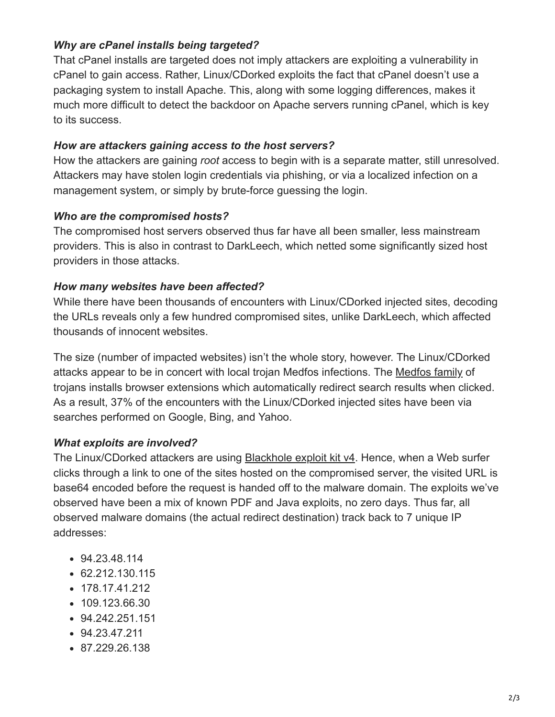# *Why are cPanel installs being targeted?*

That cPanel installs are targeted does not imply attackers are exploiting a vulnerability in cPanel to gain access. Rather, Linux/CDorked exploits the fact that cPanel doesn't use a packaging system to install Apache. This, along with some logging differences, makes it much more difficult to detect the backdoor on Apache servers running cPanel, which is key to its success.

#### *How are attackers gaining access to the host servers?*

How the attackers are gaining *root* access to begin with is a separate matter, still unresolved. Attackers may have stolen login credentials via phishing, or via a localized infection on a management system, or simply by brute-force guessing the login.

# *Who are the compromised hosts?*

The compromised host servers observed thus far have all been smaller, less mainstream providers. This is also in contrast to DarkLeech, which netted some significantly sized host providers in those attacks.

#### *How many websites have been affected?*

While there have been thousands of encounters with Linux/CDorked injected sites, decoding the URLs reveals only a few hundred compromised sites, unlike DarkLeech, which affected thousands of innocent websites.

The size (number of impacted websites) isn't the whole story, however. The Linux/CDorked attacks appear to be in concert with local trojan Medfos infections. The [Medfos family](http://www.microsoft.com/security/portal/threat/encyclopedia/Entry.aspx?Name=Win32%2fMedfos) of trojans installs browser extensions which automatically redirect search results when clicked. As a result, 37% of the encounters with the Linux/CDorked injected sites have been via searches performed on Google, Bing, and Yahoo.

# *What exploits are involved?*

The Linux/CDorked attackers are using **Blackhole exploit kit v4**. Hence, when a Web surfer clicks through a link to one of the sites hosted on the compromised server, the visited URL is base64 encoded before the request is handed off to the malware domain. The exploits we've observed have been a mix of known PDF and Java exploits, no zero days. Thus far, all observed malware domains (the actual redirect destination) track back to 7 unique IP addresses:

- 94.23.48.114
- 62.212.130.115
- 178.17.41.212
- 109.123.66.30
- 94.242.251.151
- 94.23.47.211
- 87.229.26.138